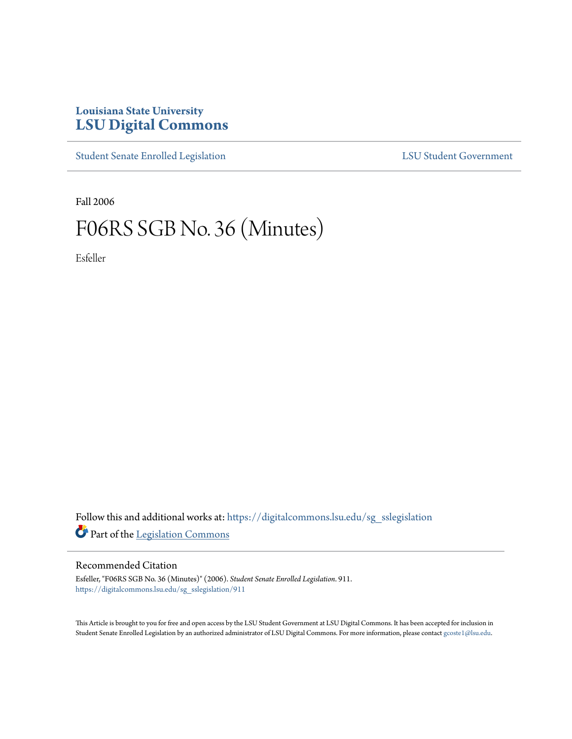## **Louisiana State University [LSU Digital Commons](https://digitalcommons.lsu.edu?utm_source=digitalcommons.lsu.edu%2Fsg_sslegislation%2F911&utm_medium=PDF&utm_campaign=PDFCoverPages)**

[Student Senate Enrolled Legislation](https://digitalcommons.lsu.edu/sg_sslegislation?utm_source=digitalcommons.lsu.edu%2Fsg_sslegislation%2F911&utm_medium=PDF&utm_campaign=PDFCoverPages) [LSU Student Government](https://digitalcommons.lsu.edu/sg?utm_source=digitalcommons.lsu.edu%2Fsg_sslegislation%2F911&utm_medium=PDF&utm_campaign=PDFCoverPages)

Fall 2006

## F06RS SGB No. 36 (Minutes)

Esfeller

Follow this and additional works at: [https://digitalcommons.lsu.edu/sg\\_sslegislation](https://digitalcommons.lsu.edu/sg_sslegislation?utm_source=digitalcommons.lsu.edu%2Fsg_sslegislation%2F911&utm_medium=PDF&utm_campaign=PDFCoverPages) Part of the [Legislation Commons](http://network.bepress.com/hgg/discipline/859?utm_source=digitalcommons.lsu.edu%2Fsg_sslegislation%2F911&utm_medium=PDF&utm_campaign=PDFCoverPages)

## Recommended Citation

Esfeller, "F06RS SGB No. 36 (Minutes)" (2006). *Student Senate Enrolled Legislation*. 911. [https://digitalcommons.lsu.edu/sg\\_sslegislation/911](https://digitalcommons.lsu.edu/sg_sslegislation/911?utm_source=digitalcommons.lsu.edu%2Fsg_sslegislation%2F911&utm_medium=PDF&utm_campaign=PDFCoverPages)

This Article is brought to you for free and open access by the LSU Student Government at LSU Digital Commons. It has been accepted for inclusion in Student Senate Enrolled Legislation by an authorized administrator of LSU Digital Commons. For more information, please contact [gcoste1@lsu.edu.](mailto:gcoste1@lsu.edu)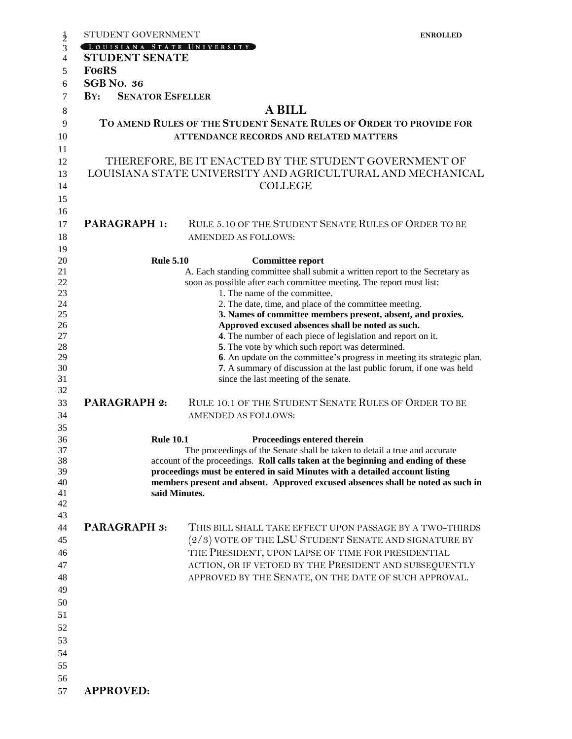| STUDENT GOVERNMENT                                                         |                                                                                                                     | <b>ENROLLED</b> |
|----------------------------------------------------------------------------|---------------------------------------------------------------------------------------------------------------------|-----------------|
| LOUISIANA STATE UNIVERSITY                                                 |                                                                                                                     |                 |
| <b>STUDENT SENATE</b>                                                      |                                                                                                                     |                 |
| <b>FO6RS</b>                                                               |                                                                                                                     |                 |
| <b>SGB</b> No. 36                                                          |                                                                                                                     |                 |
|                                                                            |                                                                                                                     |                 |
| $\mathbf{B} \mathbf{Y}$ :<br><b>SENATOR ESFELLER</b>                       |                                                                                                                     |                 |
|                                                                            | <b>A BILL</b>                                                                                                       |                 |
|                                                                            | TO AMEND RULES OF THE STUDENT SENATE RULES OF ORDER TO PROVIDE FOR<br><b>ATTENDANCE RECORDS AND RELATED MATTERS</b> |                 |
|                                                                            |                                                                                                                     |                 |
|                                                                            | THEREFORE, BE IT ENACTED BY THE STUDENT GOVERNMENT OF                                                               |                 |
|                                                                            | LOUISIANA STATE UNIVERSITY AND AGRICULTURAL AND MECHANICAL                                                          |                 |
|                                                                            | <b>COLLEGE</b>                                                                                                      |                 |
|                                                                            |                                                                                                                     |                 |
|                                                                            |                                                                                                                     |                 |
| <b>PARAGRAPH 1:</b>                                                        | RULE 5.10 OF THE STUDENT SENATE RULES OF ORDER TO BE                                                                |                 |
|                                                                            | <b>AMENDED AS FOLLOWS:</b>                                                                                          |                 |
|                                                                            |                                                                                                                     |                 |
|                                                                            |                                                                                                                     |                 |
| <b>Rule 5.10</b>                                                           | <b>Committee report</b>                                                                                             |                 |
|                                                                            | A. Each standing committee shall submit a written report to the Secretary as                                        |                 |
|                                                                            | soon as possible after each committee meeting. The report must list:<br>1. The name of the committee.               |                 |
|                                                                            | 2. The date, time, and place of the committee meeting.                                                              |                 |
|                                                                            | 3. Names of committee members present, absent, and proxies.                                                         |                 |
|                                                                            | Approved excused absences shall be noted as such.                                                                   |                 |
|                                                                            | 4. The number of each piece of legislation and report on it.                                                        |                 |
|                                                                            | 5. The vote by which such report was determined.                                                                    |                 |
|                                                                            | 6. An update on the committee's progress in meeting its strategic plan.                                             |                 |
|                                                                            | 7. A summary of discussion at the last public forum, if one was held                                                |                 |
|                                                                            | since the last meeting of the senate.                                                                               |                 |
|                                                                            |                                                                                                                     |                 |
| <b>PARAGRAPH 2:</b>                                                        | RULE 10.1 OF THE STUDENT SENATE RULES OF ORDER TO BE                                                                |                 |
|                                                                            |                                                                                                                     |                 |
|                                                                            | <b>AMENDED AS FOLLOWS:</b>                                                                                          |                 |
|                                                                            |                                                                                                                     |                 |
| <b>Rule 10.1</b>                                                           | Proceedings entered therein                                                                                         |                 |
| The proceedings of the Senate shall be taken to detail a true and accurate |                                                                                                                     |                 |
|                                                                            | account of the proceedings. Roll calls taken at the beginning and ending of these                                   |                 |
|                                                                            | proceedings must be entered in said Minutes with a detailed account listing                                         |                 |
|                                                                            | members present and absent. Approved excused absences shall be noted as such in                                     |                 |
|                                                                            | said Minutes.                                                                                                       |                 |
|                                                                            |                                                                                                                     |                 |
|                                                                            |                                                                                                                     |                 |
| <b>PARAGRAPH 3:</b>                                                        | THIS BILL SHALL TAKE EFFECT UPON PASSAGE BY A TWO-THIRDS                                                            |                 |
|                                                                            | $(2/3)$ vote of the LSU Student Senate and signature by                                                             |                 |
|                                                                            | THE PRESIDENT, UPON LAPSE OF TIME FOR PRESIDENTIAL                                                                  |                 |
|                                                                            | ACTION, OR IF VETOED BY THE PRESIDENT AND SUBSEQUENTLY                                                              |                 |
|                                                                            | APPROVED BY THE SENATE, ON THE DATE OF SUCH APPROVAL.                                                               |                 |
|                                                                            |                                                                                                                     |                 |
|                                                                            |                                                                                                                     |                 |
|                                                                            |                                                                                                                     |                 |
|                                                                            |                                                                                                                     |                 |
|                                                                            |                                                                                                                     |                 |
|                                                                            |                                                                                                                     |                 |
|                                                                            |                                                                                                                     |                 |
|                                                                            |                                                                                                                     |                 |
|                                                                            |                                                                                                                     |                 |
|                                                                            |                                                                                                                     |                 |
| <b>APPROVED:</b>                                                           |                                                                                                                     |                 |
|                                                                            |                                                                                                                     |                 |